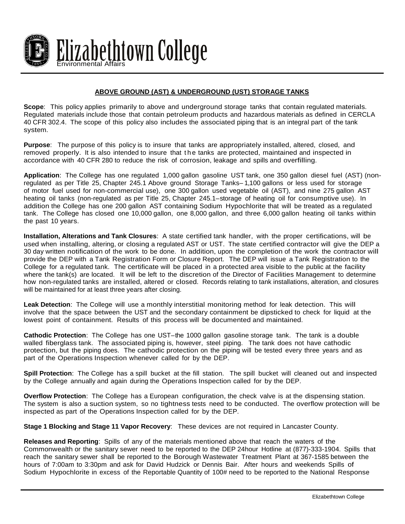

## **ABOVE GROUND (AST) & UNDERGROUND (UST) STORAGE TANKS**

**Scope**: This policy applies primarily to above and underground storage tanks that contain regulated materials. Regulated materials include those that contain petroleum products and hazardous materials as defined in CERCLA 40 CFR 302.4. The scope of this policy also includes the associated piping that is an integral part of the tank system.

**Purpose**: The purpose of this policy is to insure that tanks are appropriately installed, altered, closed, and removed properly. It is also intended to insure that the tanks are protected, maintained and inspected in accordance with 40 CFR 280 to reduce the risk of corrosion, leakage and spills and overfilling.

**Application**: The College has one regulated 1,000 gallon gasoline UST tank, one 350 gallon diesel fuel (AST) (nonregulated as per Title 25, Chapter 245.1 Above ground Storage Tanks– 1,100 gallons or less used for storage of motor fuel used for non-commercial use), one 300 gallon used vegetable oil (AST), and nine 275 gallon AST heating oil tanks (non-regulated as per Title 25, Chapter 245.1–storage of heating oil for consumptive use). In addition the College has one 200 gallon AST containing Sodium Hypochlorite that will be treated as a regulated tank. The College has closed one 10,000 gallon, one 8,000 gallon, and three 6,000 gallon heating oil tanks within the past 10 years.

**Installation, Alterations and Tank Closures**: A state certified tank handler, with the proper certifications, will be used when installing, altering, or closing a regulated AST or UST. The state certified contractor will give the DEP a 30 day written notification of the work to be done. In addition, upon the completion of the work the contractor will provide the DEP with a Tank Registration Form or Closure Report. The DEP will issue a Tank Registration to the College for a regulated tank. The certificate will be placed in a protected area visible to the public at the facility where the tank(s) are located. It will be left to the discretion of the Director of Facilities Management to determine how non-regulated tanks are installed, altered or closed. Records relating to tank installations, alteration, and closures will be maintained for at least three years after closing.

**Leak Detection**: The College will use a monthly interstitial monitoring method for leak detection. This will involve that the space between the UST and the secondary containment be dipsticked to check for liquid at the lowest point of containment. Results of this process will be documented and maintained.

**Cathodic Protection**: The College has one UST–the 1000 gallon gasoline storage tank. The tank is a double walled fiberglass tank. The associated piping is, however, steel piping. The tank does not have cathodic protection, but the piping does. The cathodic protection on the piping will be tested every three years and as part of the Operations Inspection whenever called for by the DEP.

**Spill Protection**: The College has a spill bucket at the fill station. The spill bucket will cleaned out and inspected by the College annually and again during the Operations Inspection called for by the DEP.

**Overflow Protection**: The College has a European configuration, the check valve is at the dispensing station. The system is also a suction system, so no tightness tests need to be conducted. The overflow protection will be inspected as part of the Operations Inspection called for by the DEP.

**Stage 1 Blocking and Stage 11 Vapor Recovery**: These devices are not required in Lancaster County.

**Releases and Reporting**: Spills of any of the materials mentioned above that reach the waters of the Commonwealth or the sanitary sewer need to be reported to the DEP 24hour Hotline at (877)-333-1904. Spills that reach the sanitary sewer shall be reported to the Borough Wastewater Treatment Plant at 367-1585 between the hours of 7:00am to 3:30pm and ask for David Hudzick or Dennis Bair. After hours and weekends Spills of Sodium Hypochlorite in excess of the Reportable Quantity of 100# need to be reported to the National Response